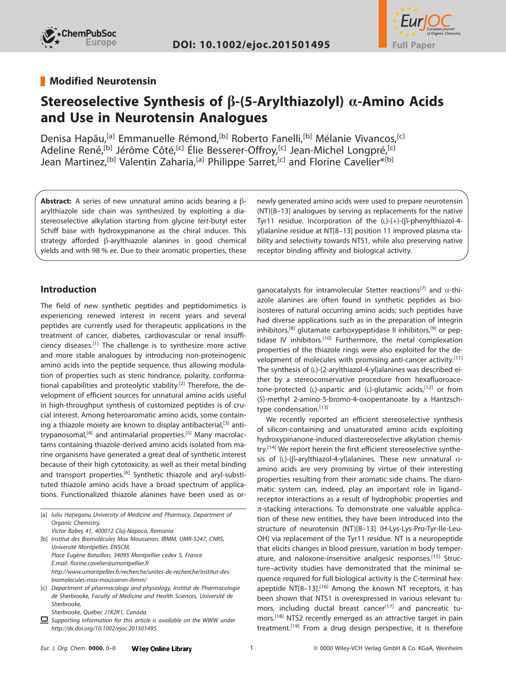



# **Modified Neurotensin**

# **Stereoselective Synthesis of β-(5-Arylthiazolyl) α-Amino Acids and Use in Neurotensin Analogues**

Denisa Hapău,<sup>[a]</sup> Emmanuelle Rémond,<sup>[b]</sup> Roberto Fanelli,<sup>[b]</sup> Mélanie Vivancos,<sup>[c]</sup> Adeline René,<sup>[b]</sup> Jérôme Côté,<sup>[c]</sup> Élie Besserer-Offroy,<sup>[c]</sup> Jean-Michel Longpré,<sup>[c]</sup> Jean Martinez,<sup>[b]</sup> Valentin Zaharia,<sup>[a]</sup> Philippe Sarret,<sup>[c]</sup> and Florine Cavelier\*<sup>[b]</sup>

**Abstract:** A series of new unnatural amino acids bearing a  $\beta$ arylthiazole side chain was synthesized by exploiting a diastereoselective alkylation starting from glycine tert-butyl ester Schiff base with hydroxypinanone as the chiral inducer. This strategy afforded  $\beta$ -arylthiazole alanines in good chemical yields and with 98 % ee. Due to their aromatic properties, these

### **Introduction**

The field of new synthetic peptides and peptidomimetics is experiencing renewed interest in recent years and several peptides are currently used for therapeutic applications in the treatment of cancer, diabetes, cardiovascular or renal insufficiency diseases.[1] The challenge is to synthesize more active and more stable analogues by introducing non-proteinogenic amino acids into the peptide sequence, thus allowing modulation of properties such as steric hindrance, polarity, conformational capabilities and proteolytic stability.<sup>[2]</sup> Therefore, the development of efficient sources for unnatural amino acids useful in high-throughput synthesis of customized peptides is of crucial interest. Among heteroaromatic amino acids, some containing a thiazole moiety are known to display antibacterial,  $[3]$  antitrypanosomal, $[4]$  and antimalarial properties.<sup>[5]</sup> Many macrolactams containing thiazole-derived amino acids isolated from marine organisms have generated a great deal of synthetic interest because of their high cytotoxicity, as well as their metal binding and transport properties.<sup>[6]</sup> Synthetic thiazole and aryl-substituted thiazole amino acids have a broad spectrum of applications. Functionalized thiazole alanines have been used as or-

[a] Iuliu Hațieganu University of Medicine and Pharmacy, Department of Organic Chemistry,

Victor Babeş 41, 400012 Cluj-Napoca, Romania [b] Institut des Biomolécules Max Mousseron, IBMM, UMR-5247, CNRS, Université Montpellier, ENSCM, Place Eugène Bataillon, 34095 Montpellier cedex 5, France E.mail: florine.cavelier@umontpellier.fr http://www.umontpellier.fr/recherche/unites-de-recherche/institut-desbiomolecules-max-mousseron-ibmm/

- [c] Department of pharmacology and physiology, Institut de Pharmacologie de Sherbrooke, Faculty of Medicine and Health Sciences, Université de Sherbrooke,
	- Sherbrooke, Québec J1K2R1, Canada
- 息 Supporting information for this article is available on the WWW under http://dx.doi.org/10.1002/ejoc.201501495.

newly generated amino acids were used to prepare neurotensin (NT)[8–13] analogues by serving as replacements for the native Tyr11 residue. Incorporation of the  $(L)-(+)$ - $(\beta$ -phenylthiazol-4yl)alanine residue at NT[8–13] position 11 improved plasma stability and selectivity towards NTS1, while also preserving native receptor binding affinity and biological activity.

αanocatalysts for intramolecular Stetter reactions<sup>[7]</sup> and  $α$ -thiazole alanines are often found in synthetic peptides as bioisosteres of natural occurring amino acids; such peptides have had diverse applications such as in the preparation of integrin inhibitors,<sup>[8]</sup> glutamate carboxypeptidase II inhibitors,<sup>[9]</sup> or peptidase IV inhibitors.<sup>[10]</sup> Furthermore, the metal complexation properties of the thiazole rings were also exploited for the development of molecules with promising anti-cancer activity.<sup>[11]</sup> The synthesis of (L)-(2-arylthiazol-4-yl)alanines was described either by a stereoconservative procedure from hexafluoroacetone-protected (L)-aspartic and (L)-glutamic acids,<sup>[12]</sup> or from (S)-methyl 2-amino-5-bromo-4-oxopentanoate by a Hantzschtype condensation.<sup>[13]</sup>

We recently reported an efficient stereoselective synthesis of silicon-containing and unsaturated amino acids exploiting hydroxypinanone-induced diastereoselective alkylation chemistry.<sup>[14]</sup> We report herein the first efficient stereoselective synthesis of (L)-( $\beta$ -arylthiazol-4-yl)alanines. These new unnatural  $\alpha$ amino acids are very promising by virtue of their interesting properties resulting from their aromatic side chains. The diaromatic system can, indeed, play an important role in ligand– receptor interactions as a result of hydrophobic properties and π-stacking interactions. To demonstrate one valuable application of these new entities, they have been introduced into the structure of neurotensin (NT)[8–13] (H-Lys-Lys-Pro-Tyr-Ile-Leu-OH) via replacement of the Tyr11 residue. NT is a neuropeptide that elicits changes in blood pressure, variation in body temperature, and naloxone-insensitive analgesic responses.[15] Structure–activity studies have demonstrated that the minimal sequence required for full biological activity is the C-terminal hexapeptide  $NT[8-13]$ .<sup>[16]</sup> Among the known NT receptors, it has been shown that NTS1 is overexpressed in various relevant tumors, including ductal breast cancer<sup>[17]</sup> and pancreatic tumors.[18] NTS2 recently emerged as an attractive target in pain treatment.<sup>[19]</sup> From a drug design perspective, it is therefore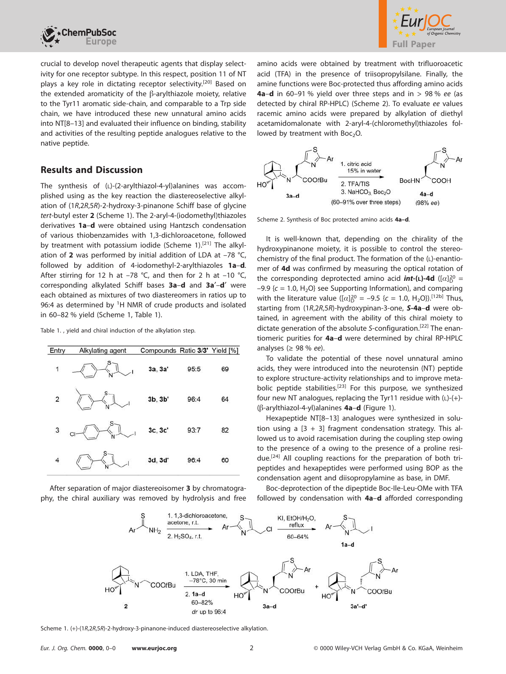



crucial to develop novel therapeutic agents that display selectivity for one receptor subtype. In this respect, position 11 of NT plays a key role in dictating receptor selectivity.<sup>[20]</sup> Based on the extended aromaticity of the  $\beta$ -arylthiazole moiety, relative to the Tyr11 aromatic side-chain, and comparable to a Trp side chain, we have introduced these new unnatural amino acids into NT[8–13] and evaluated their influence on binding, stability and activities of the resulting peptide analogues relative to the native peptide.

# **Results and Discussion**

The synthesis of (L)-(2-arylthiazol-4-yl)alanines was accomplished using as the key reaction the diastereoselective alkylation of (1R,2R,5R)-2-hydroxy-3-pinanone Schiff base of glycine tert-butyl ester **2** (Scheme 1). The 2-aryl-4-(iodomethyl)thiazoles derivatives **1a**–**d** were obtained using Hantzsch condensation of various thiobenzamides with 1,3-dichloroacetone, followed by treatment with potassium iodide (Scheme 1).<sup>[21]</sup> The alkylation of **2** was performed by initial addition of LDA at –78 °C, followed by addition of 4-iodomethyl-2-arylthiazoles **1a**–**d**. After stirring for 12 h at  $-78$  °C, and then for 2 h at  $-10$  °C, corresponding alkylated Schiff bases **3a**–**d** and **3a**′–**d**′ were each obtained as mixtures of two diastereomers in ratios up to 96:4 as determined by <sup>1</sup>H NMR of crude products and isolated in 60–82 % yield (Scheme 1, Table 1).

Table 1. , yield and chiral induction of the alkylation step.

| Entry          | Alkylating agent | Compounds Ratio 3/3' Yield [%] |      |    |
|----------------|------------------|--------------------------------|------|----|
| 1              |                  | 3a, 3a'                        | 95:5 | 69 |
| $\mathbf 2$    |                  | 3b, 3b'                        | 96:4 | 64 |
| 3              |                  | 3c, 3c'                        | 93:7 | 82 |
| $\overline{4}$ |                  | 3d, 3d'                        | 96:4 | 60 |

After separation of major diastereoisomer **3** by chromatography, the chiral auxiliary was removed by hydrolysis and free amino acids were obtained by treatment with trifluoroacetic acid (TFA) in the presence of triisopropylsilane. Finally, the amine functions were Boc-protected thus affording amino acids **4a**–**d** in 60–91 % yield over three steps and in > 98 % ee (as detected by chiral RP-HPLC) (Scheme 2). To evaluate ee values racemic amino acids were prepared by alkylation of diethyl acetamidomalonate with 2-aryl-4-(chloromethyl)thiazoles followed by treatment with  $Boc<sub>2</sub>O$ .



Scheme 2. Synthesis of Boc protected amino acids **4a–d**.

It is well-known that, depending on the chirality of the hydroxypinanone moiety, it is possible to control the stereochemistry of the final product. The formation of the (L)-enantiomer of **4d** was confirmed by measuring the optical rotation of the corresponding deprotected amino acid *int*-(**L**)-4d ([*α*]<sup>20</sup> = –9.9 { $c = 1.0$ , H<sub>2</sub>O} see Supporting Information), and comparing with the literature value ( $[\alpha]_D^{20} = -9.5$  {c = 1.0, H<sub>2</sub>O}).<sup>[12b]</sup> Thus, starting from (1R,2R,5R)-hydroxypinan-3-one, *S***-4a**–**d** were obtained, in agreement with the ability of this chiral moiety to dictate generation of the absolute S-configuration.[22] The enantiomeric purities for **4a**–**d** were determined by chiral RP-HPLC analyses ( $\geq$  98 % ee).

To validate the potential of these novel unnatural amino acids, they were introduced into the neurotensin (NT) peptide to explore structure-activity relationships and to improve metabolic peptide stabilities.<sup>[23]</sup> For this purpose, we synthesized four new NT analogues, replacing the Tyr11 residue with  $(L)-(+)$ -(β-arylthiazol-4-yl)alanines **4a–d** (Figure 1).

Hexapeptide NT[8–13] analogues were synthesized in solution using a  $[3 + 3]$  fragment condensation strategy. This allowed us to avoid racemisation during the coupling step owing to the presence of a owing to the presence of a proline residue.[24] All coupling reactions for the preparation of both tripeptides and hexapeptides were performed using BOP as the condensation agent and diisopropylamine as base, in DMF.

Boc-deprotection of the dipeptide Boc-Ile-Leu-OMe with TFA followed by condensation with **4a**–**d** afforded corresponding



Scheme 1. (+)-(1R,2R,5R)-2-hydroxy-3-pinanone-induced diastereoselective alkylation.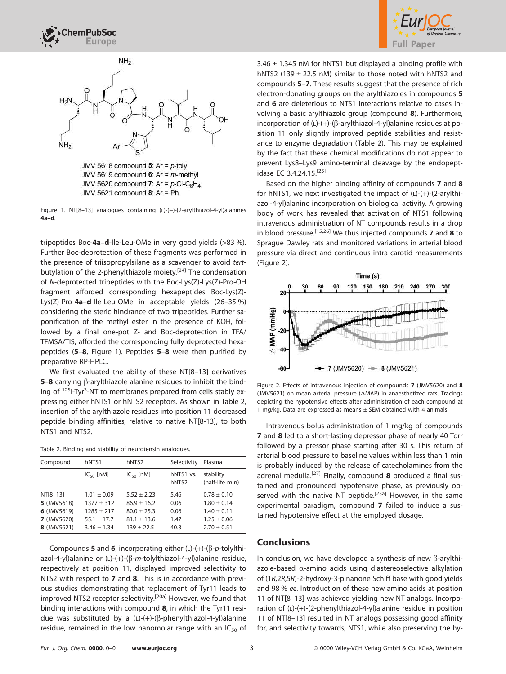





JMV 5618 compound 5: Ar =  $p$ -tolyl JMV 5619 compound 6: Ar =  $m$ -methyl JMV 5620 compound 7: Ar =  $p$ -CI-C<sub>6</sub>H<sub>4</sub> JMV 5621 compound  $8$ : Ar = Ph

Figure 1. NT[8–13] analogues containing (L)-(+)-(2-arylthiazol-4-yl)alanines **4a–d**.

tripeptides Boc-**4a**–**d**-Ile-Leu-OMe in very good yields (>83 %). Further Boc-deprotection of these fragments was performed in the presence of triisopropylsilane as a scavenger to avoid tertbutylation of the 2-phenylthiazole moiety.<sup>[24]</sup> The condensation of N-deprotected tripeptides with the Boc-Lys(Z)-Lys(Z)-Pro-OH fragment afforded corresponding hexapeptides Boc-Lys(Z)- Lys(Z)-Pro-**4a**–**d**-Ile-Leu-OMe in acceptable yields (26–35 %) considering the steric hindrance of two tripeptides. Further saponification of the methyl ester in the presence of KOH, followed by a final one-pot Z- and Boc-deprotection in TFA/ TFMSA/TIS, afforded the corresponding fully deprotected hexapeptides (**5**–**8**, Figure 1). Peptides **5**–**8** were then purified by preparative RP-HPLC.

We first evaluated the ability of these NT[8–13] derivatives **5-8** carrying  $\beta$ -arylthiazole alanine residues to inhibit the binding of <sup>125</sup>I-Tyr<sup>3</sup>-NT to membranes prepared from cells stably expressing either hNTS1 or hNTS2 receptors. As shown in Table 2, insertion of the arylthiazole residues into position 11 decreased peptide binding affinities, relative to native NT[8-13], to both NTS1 and NTS2.

|  |  |  |  |  | Table 2. Binding and stability of neurotensin analogues. |  |
|--|--|--|--|--|----------------------------------------------------------|--|
|--|--|--|--|--|----------------------------------------------------------|--|

| Compound           | hNTS1           | hNTS <sub>2</sub> | Selectivity                    | Plasma                       |
|--------------------|-----------------|-------------------|--------------------------------|------------------------------|
|                    | $IC_{50}$ [nM]  | $IC_{50}$ [nM]    | hNTS1 vs.<br>hNTS <sub>2</sub> | stability<br>(half-life min) |
| NT[8-13]           | $1.01 \pm 0.09$ | $5.52 + 2.23$     | 5.46                           | $0.78 \pm 0.10$              |
| 5 (JMV5618)        | $1377 \pm 312$  | $86.9 \pm 16.2$   | 0.06                           | $1.80 \pm 0.14$              |
| 6 (JMV5619)        | $1285 \pm 217$  | $80.0 \pm 25.3$   | 0.06                           | $1.40 \pm 0.11$              |
| <b>7</b> (JMV5620) | $55.1 \pm 17.7$ | $81.1 \pm 13.6$   | 1.47                           | $1.25 \pm 0.06$              |
| 8 (JMV5621)        | $3.46 \pm 1.34$ | $139 + 22.5$      | 40.3                           | $2.70 \pm 0.51$              |
|                    |                 |                   |                                |                              |

Compounds **5** and **6**, incorporating either  $(L)-(+)$ - $(\beta-p$ -tolylthiazol-4-yl)alanine or (L)-(+)-(β-m-tolylthiazol-4-yl)alanine residue, respectively at position 11, displayed improved selectivity to NTS2 with respect to **7** and **8**. This is in accordance with previous studies demonstrating that replacement of Tyr11 leads to improved NTS2 receptor selectivity.<sup>[20a]</sup> However, we found that binding interactions with compound **8**, in which the Tyr11 residue was substituted by a (L)-(+)-(ß-phenylthiazol-4-yl)alanine residue, remained in the low nanomolar range with an  $IC_{50}$  of  $3.46 \pm 1.345$  nM for hNTS1 but displayed a binding profile with hNTS2 (139  $\pm$  22.5 nM) similar to those noted with hNTS2 and compounds **5**–**7**. These results suggest that the presence of rich electron-donating groups on the arylthiazoles in compounds **5** and **6** are deleterious to NTS1 interactions relative to cases involving a basic arylthiazole group (compound **8**). Furthermore, incorporation of (L)-(+)-( $\beta$ -arylthiazol-4-yl)alanine residues at position 11 only slightly improved peptide stabilities and resistance to enzyme degradation (Table 2). This may be explained by the fact that these chemical modifications do not appear to prevent Lys8–Lys9 amino-terminal cleavage by the endopeptidase EC 3.4.24.15.[25]

Based on the higher binding affinity of compounds **7** and **8** for hNTS1, we next investigated the impact of  $(L)-(+)$ - $(2-\text{arylthi})$ azol-4-yl)alanine incorporation on biological activity. A growing body of work has revealed that activation of NTS1 following intravenous administration of NT compounds results in a drop in blood pressure.[15,26] We thus injected compounds **7** and **8** to Sprague Dawley rats and monitored variations in arterial blood pressure via direct and continuous intra-carotid measurements (Figure 2).



Figure 2. Effects of intravenous injection of compounds **7** (JMV5620) and **8** (JMV5621) on mean arterial pressure (ΔMAP) in anaesthetized rats. Tracings depicting the hypotensive effects after administration of each compound at 1 mg/kg. Data are expressed as means ± SEM obtained with 4 animals.

Intravenous bolus administration of 1 mg/kg of compounds **7** and **8** led to a short-lasting depressor phase of nearly 40 Torr followed by a pressor phase starting after 30 s. This return of arterial blood pressure to baseline values within less than 1 min is probably induced by the release of catecholamines from the adrenal medulla.[27] Finally, compound **8** produced a final sustained and pronounced hypotensive phase, as previously observed with the native NT peptide.<sup>[23a]</sup> However, in the same experimental paradigm, compound **7** failed to induce a sustained hypotensive effect at the employed dosage.

# **Conclusions**

In conclusion, we have developed a synthesis of new  $\beta$ -arylthiazole-based  $\alpha$ -amino acids using diastereoselective alkylation of (1R,2R,5R)-2-hydroxy-3-pinanone Schiff base with good yields and 98 % ee. Introduction of these new amino acids at position 11 of NT[8–13] was achieved yielding new NT analogs. Incorporation of (L)-(+)-(2-phenylthiazol-4-yl)alanine residue in position 11 of NT[8–13] resulted in NT analogs possessing good affinity for, and selectivity towards, NTS1, while also preserving the hy-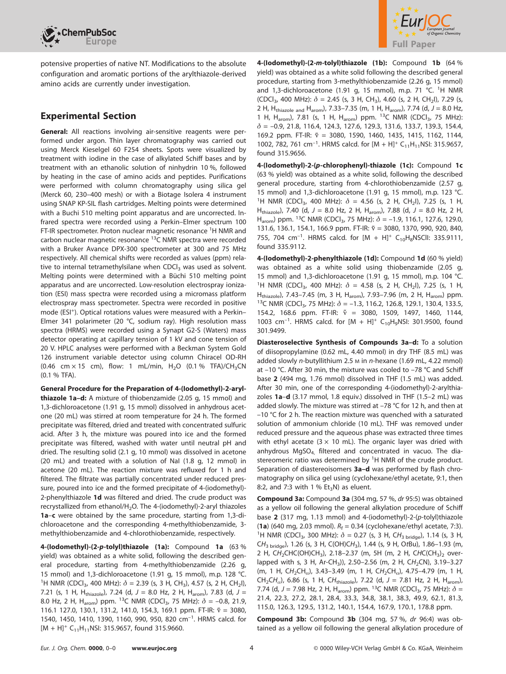

potensive properties of native NT. Modifications to the absolute configuration and aromatic portions of the arylthiazole-derived amino acids are currently under investigation.

# **Experimental Section**

**General:** All reactions involving air-sensitive reagents were performed under argon. Thin layer chromatography was carried out using Merck Kieselgel 60 F254 sheets. Spots were visualized by treatment with iodine in the case of alkylated Schiff bases and by treatment with an ethanolic solution of ninhydrin 10 %, followed by heating in the case of amino acids and peptides. Purifications were performed with column chromatography using silica gel (Merck 60, 230–400 mesh) or with a Biotage Isolera 4 instrument using SNAP KP-SIL flash cartridges. Melting points were determined with a Buchi 510 melting point apparatus and are uncorrected. Infrared spectra were recorded using a Perkin–Elmer spectrum 100 FT-IR spectrometer. Proton nuclear magnetic resonance <sup>1</sup>H NMR and carbon nuclear magnetic resonance <sup>13</sup>C NMR spectra were recorded with a Bruker Avance DPX-300 spectrometer at 300 and 75 MHz respectively. All chemical shifts were recorded as values (ppm) relative to internal tetramethylsilane when  $CDCI<sub>3</sub>$  was used as solvent. Melting points were determined with a Büchi 510 melting point apparatus and are uncorrected. Low-resolution electrospray ionization (ESI) mass spectra were recorded using a micromass platform electrospray mass spectrometer. Spectra were recorded in positive mode (ESI<sup>+</sup>). Optical rotations values were measured with a Perkin-Elmer 341 polarimeter (20 °C, sodium ray). High resolution mass spectra (HRMS) were recorded using a Synapt G2-S (Waters) mass detector operating at capillary tension of 1 kV and cone tension of 20 V. HPLC analyses were performed with a Beckman System Gold 126 instrument variable detector using column Chiracel OD-RH (0.46 cm  $\times$  15 cm), flow: 1 mL/min, H<sub>2</sub>O (0.1 % TFA)/CH<sub>3</sub>CN (0.1 % TFA).

**General Procedure for the Preparation of 4-(Iodomethyl)-2-arylthiazole 1a–d:** A mixture of thiobenzamide (2.05 g, 15 mmol) and 1,3-dichloroacetone (1.91 g, 15 mmol) dissolved in anhydrous acetone (20 mL) was stirred at room temperature for 24 h. The formed precipitate was filtered, dried and treated with concentrated sulfuric acid. After 3 h, the mixture was poured into ice and the formed precipitate was filtered, washed with water until neutral pH and dried. The resulting solid (2.1 g, 10 mmol) was dissolved in acetone (20 mL) and treated with a solution of NaI (1.8 g, 12 mmol) in acetone (20 mL). The reaction mixture was refluxed for 1 h and filtered. The filtrate was partially concentrated under reduced pressure, poured into ice and the formed precipitate of 4-(iodomethyl)- 2-phenylthiazole **1d** was filtered and dried. The crude product was recrystallized from ethanol/H<sub>2</sub>O. The 4-(iodomethyl)-2-aryl thiazoles **1a**–**c** were obtained by the same procedure, starting from 1,3-dichloroacetone and the corresponding 4-methylthiobenzamide, 3 methylthiobenzamide and 4-chlorothiobenzamide, respectively.

**4-(Iodomethyl)-(2-***p-***tolyl)thiazole (1a):** Compound **1a** (63 % yield) was obtained as a white solid, following the described general procedure, starting from 4-methylthiobenzamide (2.26 g, 15 mmol) and 1,3-dichloroacetone (1.91 g, 15 mmol), m.p. 128 °C. <sup>1</sup>H NMR (CDCl<sub>3</sub>, 400 MHz):  $\delta$  = 2.39 (s, 3 H, CH<sub>3</sub>), 4.57 (s, 2 H, CH<sub>2</sub>l), 7.21 (s, 1 H, H<sub>thiazole</sub>), 7.24 (d, J = 8.0 Hz, 2 H, H<sub>arom</sub>), 7.83 (d, J = 8.0 Hz, 2 H, H<sub>arom</sub>) ppm. <sup>13</sup>C NMR (CDCl<sub>3</sub>, 75 MHz):  $\delta$  = -0.8, 21.9, 116.1 127.0, 130.1, 131.2, 141.0, 154.3, 169.1 ppm. FT-IR:  $\tilde{v} = 3080$ , 1540, 1450, 1410, 1390, 1160, 990, 950, 820 cm–1. HRMS calcd. for  $[M + H]^+ C_{11}H_{11}$ NSI: 315.9657, found 315.9660.



**4-(Iodomethyl)-(2-***m-***tolyl)thiazole (1b):** Compound **1b** (64 % yield) was obtained as a white solid following the described general procedure, starting from 3-methylthiobenzamide (2.26 g, 15 mmol) and 1,3-dichloroacetone (1.91 g, 15 mmol), m.p. 71 °C. <sup>1</sup>H NMR (CDCl<sub>3</sub>, 400 MHz):  $\delta$  = 2.45 (s, 3 H, CH<sub>3</sub>), 4.60 (s, 2 H, CH<sub>2</sub>I), 7.29 (s, 2 H, H<sub>thiazole and</sub> H<sub>arom</sub>), 7.33–7.35 (m, 1 H, H<sub>arom</sub>), 7.74 (d,  $J = 8.0$  Hz, 1 H, H<sub>arom</sub>), 7.81 (s, 1 H, H<sub>arom</sub>) ppm. <sup>13</sup>C NMR (CDCl<sub>3</sub>, 75 MHz): *δ* = –0.9, 21.8, 116.4, 124.3, 127.6, 129.3, 131.6, 133.7, 139.3, 154.4, 169.2 ppm. FT-IR:  $\tilde{\text{v}}$  = 3080, 1590, 1460, 1435, 1415, 1162, 1144, 1002, 782, 761 cm<sup>-1</sup>. HRMS calcd. for  $[M + H]^{+} C_{11}H_{11}$ NSI: 315.9657, found 315.9656.

**4-(Iodomethyl)-2-(***p***-chlorophenyl)-thiazole (1c):** Compound **1c** (63 % yield) was obtained as a white solid, following the described general procedure, starting from 4-chlorothiobenzamide (2.57 g, 15 mmol) and 1,3-dichloroacetone (1.91 g, 15 mmol), m.p. 123 °C. <sup>1</sup>H NMR (CDCl<sub>3</sub>, 400 MHz):  $\delta$  = 4.56 (s, 2 H, CH<sub>2</sub>I), 7.25 (s, 1 H<sub>1</sub> H<sub>thiazole</sub>), 7.40 (d,  $J = 8.0$  Hz, 2 H, H<sub>arom</sub>), 7.88 (d,  $J = 8.0$  Hz, 2 H, H<sub>arom</sub>) ppm. <sup>13</sup>C NMR (CDCl<sub>3</sub>, 75 MHz):  $\delta$  = -1.9, 116.1, 127.6, 129.0, 131.6, 136.1, 154.1, 166.9 ppm. FT-IR:  $\tilde{\text{v}}$  = 3080, 1370, 990, 920, 840, 755, 704 cm<sup>-1</sup>. HRMS calcd. for  $[M + H]^+$  C<sub>10</sub>H<sub>8</sub>NSClI: 335.9111, found 335.9112.

**4-(Iodomethyl)-2-phenylthiazole (1d):** Compound **1d** (60 % yield) was obtained as a white solid using thiobenzamide (2.05 g, 15 mmol) and 1,3-dichloroacetone (1.91 g, 15 mmol), m.p. 104 °C. <sup>1</sup>H NMR (CDCl<sub>3</sub>, 400 MHz):  $\delta$  = 4.58 (s, 2 H, CH<sub>2</sub>I), 7.25 (s, 1 H<sub>1</sub> H<sub>thiazole</sub>), 7.43–7.45 (m, 3 H, H<sub>arom</sub>), 7.93–7.96 (m, 2 H, H<sub>arom</sub>) ppm.<br><sup>13</sup>C NMR (CDCl<sub>3</sub>, 75 MHz): *δ* = –1.3, 116.2, 126.8, 129.1, 130.4, 133.5, 154.2, 168.6 ppm. FT-IR:  $\tilde{v}$  = 3080, 1509, 1497, 1460, 1144, 1003 cm<sup>-1</sup>. HRMS calcd. for  $[M + H]^+$  C<sub>10</sub>H<sub>9</sub>NSI: 301.9500, found 301.9499.

**Diasteroselective Synthesis of Compounds 3a–d:** To a solution of diisopropylamine (0.62 mL, 4.40 mmol) in dry THF (8.5 mL) was added slowly n-butyllithium 2.5 m in n-hexane (1.69 mL, 4.22 mmol) at –10 °C. After 30 min, the mixture was cooled to –78 °C and Schiff base **2** (494 mg, 1.76 mmol) dissolved in THF (1.5 mL) was added. After 30 min, one of the corresponding 4-(iodomethyl)-2-arylthiazoles **1a**–**d** (3.17 mmol, 1.8 equiv.) dissolved in THF (1.5–2 mL) was added slowly. The mixture was stirred at –78 °C for 12 h, and then at –10 °C for 2 h. The reaction mixture was quenched with a saturated solution of ammonium chloride (10 mL). THF was removed under reduced pressure and the aqueous phase was extracted three times with ethyl acetate ( $3 \times 10$  mL). The organic layer was dried with anhydrous MgSO<sub>4</sub>, filtered and concentrated in vacuo. The diastereomeric ratio was determined by  ${}^{1}$ H NMR of the crude product. Separation of diastereoisomers **3a–d** was performed by flash chromatography on silica gel using (cyclohexane/ethyl acetate, 9:1, then 8:2, and 7:3 with 1 %  $Et_3N$ ) as eluent.

**Compound 3a:** Compound **3a** (304 mg, 57 %, dr 95:5) was obtained as a yellow oil following the general alkylation procedure of Schiff base **2** (317 mg, 1.13 mmol) and 4-(iodomethyl)-2-(p-tolyl)thiazole (**1a**) (640 mg, 2.03 mmol).  $R_f = 0.34$  (cyclohexane/ethyl acetate, 7:3). <sup>1</sup>H NMR (CDCl<sub>3</sub>, 300 MHz):  $\delta$  = 0.27 (s, 3 H, CH<sub>3 bridge</sub>), 1.14 (s, 3 H, CH<sub>3 bridge</sub>), 1.26 (s, 3 H, C(OH)CH<sub>3</sub>), 1.44 (s, 9 H, OtBu), 1.86-1.93 (m, 2 H, CH<sub>2</sub>CHC(OH)CH<sub>3</sub>), 2.18–2.37 (m, 5H (m, 2 H, CHC(CH<sub>3</sub>)<sub>2</sub> overlapped with s, 3 H, Ar-CH<sub>3</sub>)), 2.50–2.56 (m, 2 H, CH<sub>2</sub>CN), 3.19–3.27 (m, 1 H,  $CH_2CH_{\alpha}$ ), 3.43-3.49 (m, 1 H,  $CH_2CH_{\alpha}$ ), 4.75-4.79 (m, 1 H, CH<sub>2</sub>CH<sub>α</sub>), 6.86 (s, 1 H, CH<sub>thiazole</sub>), 7.22 (d, J = 7.81 Hz, 2 H, H<sub>arom</sub>), 7.74 (d, J = 7.98 Hz, 2 H, H<sub>arom</sub>) ppm. <sup>13</sup>C NMR (CDCl<sub>3</sub>, 75 MHz):  $\delta$  = 21.4, 22.3, 27.2, 28.1, 28.4, 33.3, 34.8, 38.1, 38.3, 49.9, 62.1, 81.3, 115.0, 126.3, 129.5, 131.2, 140.1, 154.4, 167.9, 170.1, 178.8 ppm.

**Compound 3b:** Compound **3b** (304 mg, 57 %, dr 96:4) was obtained as a yellow oil following the general alkylation procedure of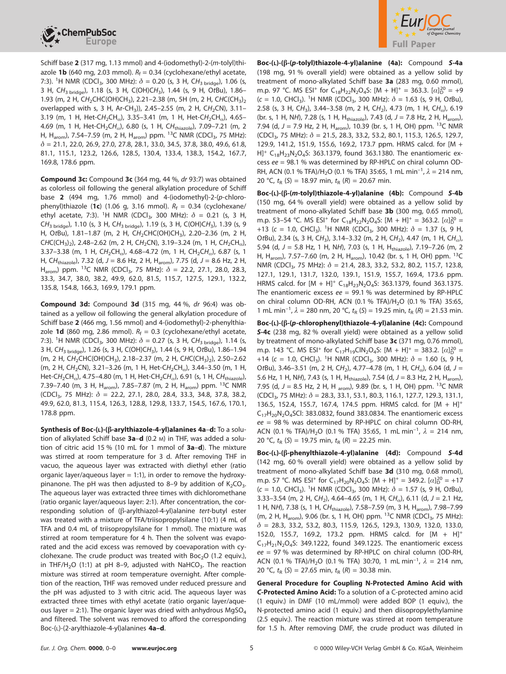



Schiff base **2** (317 mg, 1.13 mmol) and 4-(iodomethyl)-2-(m-tolyl)thiazole **1b** (640 mg, 2.03 mmol).  $R_f = 0.34$  (cyclohexane/ethyl acetate, 7:3). <sup>1</sup>H NMR (CDCl<sub>3</sub>, 300 MHz):  $\delta$  = 0.20 (s, 3 H, CH<sub>3 bridge</sub>), 1.06 (s, 3 H, CH<sub>3 bridge</sub>), 1.18 (s, 3 H, C(OH)CH<sub>3</sub>), 1.44 (s, 9 H, OtBu), 1.86-1.93 (m, 2 H, CH<sub>2</sub>CHC(OH)CH<sub>3</sub>), 2.21-2.38 (m, 5H (m, 2 H, CHC(CH<sub>3</sub>)<sub>2</sub> overlapped with s, 3 H, Ar-CH<sub>3</sub>)), 2.45-2.55 (m, 2 H, CH<sub>2</sub>CN), 3.11-3.19 (m, 1 H, Het-CH<sub>2</sub>CH<sub>α</sub>), 3.35-3.41 (m, 1 H, Het-CH<sub>2</sub>CH<sub>α</sub>), 4.65-4.69 (m, 1 H, Het-CH<sub>2</sub>CH<sub>α</sub>), 6.80 (s, 1 H, CH<sub>thiazole</sub>), 7.09-7.21 (m, 2 H, H<sub>arom</sub>), 7.54–7.59 (m, 2 H, H<sub>arom</sub>) ppm. <sup>13</sup>C NMR (CDCl<sub>3</sub>, 75 MHz): *δ* = 21.1, 22.0, 26.9, 27.0, 27.8, 28.1, 33.0, 34.5, 37.8, 38.0, 49.6, 61.8, 81.1, 115.1, 123.2, 126.6, 128.5, 130.4, 133.4, 138.3, 154.2, 167.7, 169.8, 178.6 ppm.

**Compound 3c:** Compound **3c** (364 mg, 44 %, dr 93:7) was obtained as colorless oil following the general alkylation procedure of Schiff base **2** (494 mg, 1.76 mmol) and 4-(iodomethyl)-2-(p-chlorophenyl)thiazole (1c) (1.06 g, 3.16 mmol).  $R_f = 0.34$  (cyclohexane/ ethyl acetate, 7:3). <sup>1</sup>H NMR (CDCl<sub>3</sub>, 300 MHz):  $\delta$  = 0.21 (s, 3 H, CH<sub>3 bridge</sub>), 1.10 (s, 3 H, CH<sub>3 bridge</sub>), 1.19 (s, 3 H, C(OH)CH<sub>3</sub>), 1.39 (s, 9 H, OtBu), 1.81-1.87 (m, 2 H, CH<sub>2</sub>CHC(OH)CH<sub>3</sub>), 2.20-2.36 (m, 2 H,  $CHC(CH_3)$ , 2.48–2.62 (m, 2 H, CH<sub>2</sub>CN), 3.19–3.24 (m, 1 H, CH<sub>2</sub>CH<sub>a</sub>), 3.37–3.38 (m, 1 H, CH<sub>2</sub>CH<sub>α</sub>), 4.68–4.72 (m, 1 H, CH<sub>2</sub>CH<sub>α</sub>), 6.87 (s, 1 H, CH<sub>thiazole</sub>), 7.32 (d, J = 8.6 Hz, 2 H, H<sub>arom</sub>), 7.75 (d, J = 8.6 Hz, 2 H, H<sub>arom</sub>) ppm. <sup>13</sup>C NMR (CDCl<sub>3</sub>, 75 MHz):  $\delta$  = 22.2, 27.1, 28.0, 28.3, 33.3, 34.7, 38.0, 38.2, 49.9, 62.0, 81.5, 115.7, 127.5, 129.1, 132.2, 135.8, 154.8, 166.3, 169.9, 179.1 ppm.

**Compound 3d:** Compound **3d** (315 mg, 44 %, dr 96:4) was obtained as a yellow oil following the general alkylation procedure of Schiff base **2** (466 mg, 1.56 mmol) and 4-(iodomethyl)-2-phenylthiazole **1d** (860 mg, 2.86 mmol).  $R_f = 0.3$  (cyclohexane/ethyl acetate, 7:3). <sup>1</sup>H NMR (CDCl<sub>3</sub>, 300 MHz):  $\delta$  = 0.27 (s, 3 H, CH<sub>3 bridge</sub>), 1.14 (s, 3 H, CH<sub>3 bridge</sub>), 1.26 (s, 3 H, C(OH)CH<sub>3</sub>), 1.44 (s, 9 H, OtBu), 1.86-1.94 (m, 2 H, CH<sub>2</sub>CHC(OH)CH<sub>3</sub>), 2.18–2.37 (m, 2 H, CHC(CH<sub>3</sub>)<sub>2</sub>), 2.50–2.62 (m, 2 H, CH<sub>2</sub>CN), 3.21-3.26 (m, 1 H, Het-CH<sub>2</sub>CH<sub>a</sub>), 3.44-3.50 (m, 1 H, Het-CH<sub>2</sub>CH<sub>α</sub>), 4.75–4.80 (m, 1 H, Het-CH<sub>2</sub>CH<sub>α</sub>), 6.91 (s, 1 H, CH<sub>thiazole</sub>), 7.39–7.40 (m, 3 H, H<sub>arom</sub>), 7.85–7.87 (m, 2 H, H<sub>arom</sub>) ppm. <sup>13</sup>C NMR (CDCl3, 75 MHz): *δ* = 22.2, 27.1, 28.0, 28.4, 33.3, 34.8, 37.8, 38.2, 49.9, 62.0, 81.3, 115.4, 126.3, 128.8, 129.8, 133.7, 154.5, 167.6, 170.1, 178.8 ppm.

**Synthesis of Boc-(L)-(--arylthiazole-4-yl)alanines 4a**–**d:** To a solution of alkylated Schiff base **3a**–**d** (0.2 M) in THF, was added a solution of citric acid 15 % (10 mL for 1 mmol of **3a**–**d**). The mixture was stirred at room temperature for 3 d. After removing THF in vacuo, the aqueous layer was extracted with diethyl ether (ratio organic layer/aqueous layer  $= 1:1$ ), in order to remove the hydroxypinanone. The pH was then adjusted to 8-9 by addition of  $K_2CO_3$ . The aqueous layer was extracted three times with dichloromethane (ratio organic layer/aqueous layer: 2:1). After concentration, the corresponding solution of (ß-arylthiazol-4-yl)alanine tert-butyl ester was treated with a mixture of TFA/triisopropylsilane (10:1) (4 mL of TFA and 0.4 mL of triisopropylsilane for 1 mmol). The mixture was stirred at room temperature for 4 h. Then the solvent was evaporated and the acid excess was removed by coevaporation with cyclohexane. The crude product was treated with  $Boc<sub>2</sub>O$  (1.2 equiv.), in THF/H<sub>2</sub>O (1:1) at pH 8–9, adjusted with NaHCO<sub>3</sub>. The reaction mixture was stirred at room temperature overnight. After completion of the reaction, THF was removed under reduced pressure and the pH was adjusted to 3 with citric acid. The aqueous layer was extracted three times with ethyl acetate (ratio organic layer/aqueous layer = 2:1). The organic layer was dried with anhydrous  $MgSO<sub>4</sub>$ and filtered. The solvent was removed to afford the corresponding Boc-(L)-(2-arylthiazole-4-yl)alanines **4a–d**.

**Boc-(L)-(--(***p***-tolyl)thiazole-4-yl)alanine (4a):** Compound *S***-4a** (198 mg, 91 % overall yield) were obtained as a yellow solid by treatment of mono-alkylated Schiff base **3a** (283 mg, 0.60 mmol), m.p. 97 °C. MS ESI<sup>+</sup> for C<sub>18</sub>H<sub>22</sub>N<sub>2</sub>O<sub>4</sub>S: [M + H]<sup>+</sup> = 363.3. [ $\alpha$ ]<sub>D</sub><sup>20</sup> = +9  $(c = 1.0, CHCl<sub>3</sub>)$ . <sup>1</sup>H NMR (CDCl<sub>3</sub>, 300 MHz):  $\delta = 1.63$  (s, 9 H, OtBu), 2.58 (s, 3 H, CH<sub>3</sub>), 3.44–3.58 (m, 2 H, CH<sub>2</sub>), 4.73 (m, 1 H, CH<sub>a</sub>), 6.19 (br. s, 1 H, NH), 7.28 (s, 1 H, H<sub>thiazole</sub>), 7.43 (d,  $J = 7.8$  Hz, 2 H, H<sub>arom</sub>), 7.94 (d,  $J = 7.9$  Hz, 2 H, H<sub>arom</sub>), 10.39 (br. s, 1 H, OH) ppm. <sup>13</sup>C NMR (CDCl3, 75 MHz): *δ* = 21.5, 28.3, 33.2, 53.2, 80.1, 115.3, 126.5, 129.7, 129.9, 141.2, 151.9, 155.6, 169.2, 173.7 ppm. HRMS calcd. for [M + H]<sup>+</sup> C<sub>18</sub>H<sub>23</sub>N<sub>2</sub>O<sub>4</sub>S: 363.1379, found 363.1380. The enantiomeric excess ee = 98.1 % was determined by RP-HPLC on chiral column OD-RH, ACN (0.1 % TFA)/H2O (0.1 % TFA) 35:65, 1 mL min–1, *λ* = 214 nm, 20 °C,  $t_{\rm R}$  (S) = 18.97 min,  $t_{\rm R}$  (R) = 20.67 min.

**Boc-(L)-(--(***m***-tolyl)thiazole-4-yl)alanine (4b):** Compound *S***-4b** (150 mg, 64 % overall yield) were obtained as a yellow solid by treatment of mono-alkylated Schiff base **3b** (300 mg, 0.65 mmol), m.p. 53–54 °C. MS ESI<sup>+</sup> for C<sub>18</sub>H<sub>22</sub>N<sub>2</sub>O<sub>4</sub>S: [M + H]<sup>+</sup> = 363.2. [ $\alpha$ ]<sub>D</sub><sup>20</sup> = +13 ( $c = 1.0$ , CHCl<sub>3</sub>). <sup>1</sup>H NMR (CDCl<sub>3</sub>, 300 MHz):  $\delta = 1.37$  (s, 9 H, OtBu), 2.34 (s, 3 H, CH<sub>3</sub>), 3.14–3.32 (m, 2 H, CH<sub>2</sub>), 4.47 (m, 1 H, CH<sub>a</sub>), 5.94 (d, J = 5.8 Hz, 1 H, NH), 7.03 (s, 1 H, H<sub>thiazole</sub>), 7.19-7.26 (m, 2 H, H<sub>arom</sub>), 7.57–7.60 (m, 2 H, H<sub>arom</sub>), 10.42 (br. s, 1 H, OH) ppm. <sup>13</sup>C NMR (CDCl<sub>3</sub>, 75 MHz):  $\delta$  = 21.4, 28.3, 33.2, 53.2, 80.2, 115.7, 123.8, 127.1, 129.1, 131.7, 132.0, 139.1, 151.9, 155.7, 169.4, 173.6 ppm. HRMS calcd. for  $[M + H]^+ C_{18}H_{23}N_2O_4S$ : 363.1379, found 363.1375. The enantiomeric excess  $ee = 99.1$  % was determined by RP-HPLC on chiral column OD-RH, ACN (0.1 % TFA)/H<sub>2</sub>O (0.1 % TFA) 35:65, 1 mL min<sup>-1</sup>,  $\lambda$  = 280 nm, 20 °C,  $t_R$  (S) = 19.25 min,  $t_R$  (R) = 21.53 min.

**Boc-(L)-(--(***p***-chlorophenyl)thiazole-4-yl)alanine (4c):** Compound *S***-4c** (238 mg, 82 % overall yield) were obtained as a yellow solid by treatment of mono-alkylated Schiff base **3c** (371 mg, 0.76 mmol), m.p. 143 °C. MS ESI<sup>+</sup> for C<sub>17</sub>H<sub>19</sub>CIN<sub>2</sub>O<sub>4</sub>S: [M + H]<sup>+</sup> = 383.2. [ $\alpha$ ]<sub>D</sub><sup>20</sup> = +14 ( $c = 1.0$ , CHCl<sub>3</sub>). <sup>1</sup>H NMR (CDCl<sub>3</sub>, 300 MHz):  $\delta = 1.60$  (s, 9 H, OtBu), 3.46–3.51 (m, 2 H, CH<sub>2</sub>), 4.77–4.78 (m, 1 H, CH<sub>a</sub>), 6.04 (d, J = 5.6 Hz, 1 H, NH), 7.43 (s, 1 H, H<sub>thiazole</sub>), 7.54 (d,  $J = 8.3$  Hz, 2 H, H<sub>arom</sub>), 7.95 (d,  $J = 8.5$  Hz, 2 H, H  $_{\text{arom}}$ ), 9.89 (br. s, 1 H, OH) ppm. <sup>13</sup>C NMR (CDCl3, 75 MHz): *δ* = 28.3, 33.1, 53.1, 80.3, 116.1, 127.7, 129.3, 131.1, 136.5, 152.4, 155.7, 167.4, 174.5 ppm. HRMS calcd. for [M + H]+  $C_{17}H_{20}N_2O_4$ SCl: 383.0832, found 383.0834. The enantiomeric excess  $ee = 98$  % was determined by RP-HPLC on chiral column OD-RH, ACN (0.1 % TFA)/H<sub>2</sub>O (0.1 % TFA) 35:65, 1 mL min<sup>-1</sup>,  $\lambda = 214$  nm, 20 °C,  $t_{R}$  (S) = 19.75 min,  $t_{R}$  (R) = 22.25 min.

**Boc-(L)-(--phenylthiazole-4-yl)alanine (4d):** Compound *S***-4d** (142 mg, 60 % overall yield) were obtained as a yellow solid by treatment of mono-alkylated Schiff base **3d** (310 mg, 0.68 mmol), m.p. 57 °C. MS ESI<sup>+</sup> for C<sub>17</sub>H<sub>20</sub>N<sub>2</sub>O<sub>4</sub>S: [M + H]<sup>+</sup> = 349.2. [ $\alpha$ ]<sub>D</sub><sup>20</sup> = +17  $(c = 1.0, \text{CHCl}_3)$ . <sup>1</sup>H NMR (CDCl<sub>3</sub>, 300 MHz):  $\delta = 1.57$  (s, 9 H, OtBu), 3.33–3.54 (m, 2 H, CH<sub>2</sub>), 4.64–4.65 (m, 1 H, CH<sub>a</sub>), 6.11 (d, J = 2.1 Hz, 1 H, NH), 7.38 (s, 1 H, CH<sub>thiazole</sub>), 7.58-7.59 (m, 3 H, H<sub>arom</sub>), 7.98-7.99 (m, 2 H, H<sub>arom</sub>), 9.06 (br. s, 1 H, OH) ppm. <sup>13</sup>C NMR (CDCl<sub>3</sub>, 75 MHz): *δ* = 28.3, 33.2, 53.2, 80.3, 115.9, 126.5, 129.3, 130.9, 132.0, 133.0, 152.0, 155.7, 169.2, 173.2 ppm. HRMS calcd. for [M + H]<sup>+</sup>  $C_{17}H_{21}N_2O_4S$ : 349.1222, found 349.1225. The enantiomeric excess ee = 97 % was determined by RP-HPLC on chiral column (OD-RH, ACN (0.1 % TFA)/H2O (0.1 % TFA) 30:70, 1 mL min–1, *λ* = 214 nm, 20 °C,  $t_{R}$  (S) = 27.65 min,  $t_{R}$  (R) = 30.38 min.

**General Procedure for Coupling N-Protected Amino Acid with** *C***-Protected Amino Acid:** To a solution of a C-protected amino acid (1 equiv.) in DMF (10 mL/mmol) were added BOP (1 equiv.), the N-protected amino acid (1 equiv.) and then diisopropylethylamine (2.5 equiv.). The reaction mixture was stirred at room temperature for 1.5 h. After removing DMF, the crude product was diluted in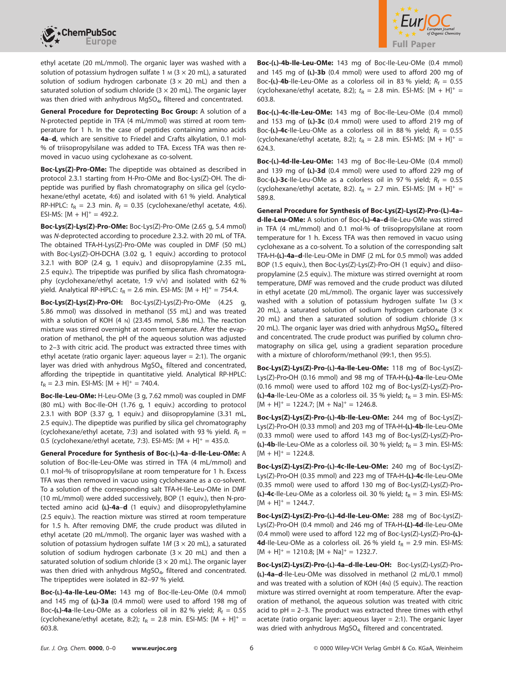



ethyl acetate (20 mL/mmol). The organic layer was washed with a solution of potassium hydrogen sulfate 1  $M$  (3  $\times$  20 mL), a saturated solution of sodium hydrogen carbonate  $(3 \times 20 \text{ mL})$  and then a saturated solution of sodium chloride ( $3 \times 20$  mL). The organic layer was then dried with anhydrous MgSO<sub>4</sub>, filtered and concentrated.

**General Procedure for Deprotecting Boc Group:** A solution of a N-protected peptide in TFA (4 mL/mmol) was stirred at room temperature for 1 h. In the case of peptides containing amino acids **4a**–**d**, which are sensitive to Friedel and Crafts alkylation, 0.1 mol- % of triisopropylsilane was added to TFA. Excess TFA was then removed in vacuo using cyclohexane as co-solvent.

**Boc-Lys(Z)-Pro-OMe:** The dipeptide was obtained as described in protocol 2.3.1 starting from H-Pro-OMe and Boc-Lys(Z)-OH. The dipeptide was purified by flash chromatography on silica gel (cyclohexane/ethyl acetate, 4:6) and isolated with 61 % yield. Analytical RP-HPLC:  $t<sub>R</sub> = 2.3$  min.  $R<sub>f</sub> = 0.35$  (cyclohexane/ethyl acetate, 4:6). ESI-MS:  $[M + H]^{+} = 492.2$ .

**Boc-Lys(Z)-Lys(Z)-Pro-OMe:** Boc-Lys(Z)-Pro-OMe (2.65 g, 5.4 mmol) was N-deprotected according to procedure 2.3.2. with 20 mL of TFA. The obtained TFA**·**H-Lys(Z)-Pro-OMe was coupled in DMF (50 mL) with Boc-Lys(Z)-OH**·**DCHA (3.02 g, 1 equiv.) according to protocol 3.2.1 with BOP (2.4 g, 1 equiv.) and diisopropylamine (2.35 mL, 2.5 equiv.). The tripeptide was purified by silica flash chromatography (cyclohexane/ethyl acetate, 1:9 v/v) and isolated with 62 % yield. Analytical RP-HPLC:  $t_R = 2.6$  min. ESI-MS:  $[M + H]^{+} = 754.4$ .

**Boc-Lys(Z)-Lys(Z)-Pro-OH:** Boc-Lys(Z)-Lys(Z)-Pro-OMe (4.25 g, 5.86 mmol) was dissolved in methanol (55 mL) and was treated with a solution of KOH (4 N) (23.45 mmol, 5.86 mL). The reaction mixture was stirred overnight at room temperature. After the evaporation of methanol, the pH of the aqueous solution was adjusted to 2–3 with citric acid. The product was extracted three times with ethyl acetate (ratio organic layer: aqueous layer = 2:1). The organic layer was dried with anhydrous MgSO<sub>4,</sub> filtered and concentrated, affording the tripeptide in quantitative yield. Analytical RP-HPLC:  $t_{\text{R}} = 2.3$  min. ESI-MS:  $[M + H]^{+} = 740.4$ .

**Boc-Ile-Leu-OMe:** H-Leu-OMe (3 g, 7.62 mmol) was coupled in DMF (80 mL) with Boc-Ile-OH (1.76 g, 1 equiv.) according to protocol 2.3.1 with BOP (3.37 g, 1 equiv.) and diisopropylamine (3.31 mL, 2.5 equiv.). The dipeptide was purified by silica gel chromatography (cyclohexane/ethyl acetate, 7:3) and isolated with 93 % yield.  $R_f =$ 0.5 (cyclohexane/ethyl acetate, 7:3). ESI-MS:  $[M + H]^{+} = 435.0$ .

**General Procedure for Synthesis of Boc-(L)-4a**–**d-Ile-Leu-OMe:** A solution of Boc-Ile-Leu-OMe was stirred in TFA (4 mL/mmol) and 0.1 mol-% of triisopropylsilane at room temperature for 1 h. Excess TFA was then removed in vacuo using cyclohexane as a co-solvent. To a solution of the corresponding salt TFA**·**H-Ile-Leu-OMe in DMF (10 mL/mmol) were added successively, BOP (1 equiv.), then N-protected amino acid **(L)-4a**–**d** (1 equiv.) and diisopropylethylamine (2.5 equiv.). The reaction mixture was stirred at room temperature for 1.5 h. After removing DMF, the crude product was diluted in ethyl acetate (20 mL/mmol). The organic layer was washed with a solution of potassium hydrogen sulfate  $1M$  (3  $\times$  20 mL), a saturated solution of sodium hydrogen carbonate  $(3 \times 20 \text{ mL})$  and then a saturated solution of sodium chloride ( $3 \times 20$  mL). The organic layer was then dried with anhydrous MgSO<sub>4</sub>, filtered and concentrated. The tripeptides were isolated in 82–97 % yield.

**Boc-(L)-4a-Ile-Leu-OMe:** 143 mg of Boc-Ile-Leu-OMe (0.4 mmol) and 145 mg of **(L)-3a** (0.4 mmol) were used to afford 198 mg of Boc-(L)-4a-Ile-Leu-OMe as a colorless oil in 82 % yield;  $R_f = 0.55$ (cyclohexane/ethyl acetate, 8:2);  $t_R = 2.8$  min. ESI-MS: [M + H]<sup>+</sup> = 603.8.

**Boc-(L)-4b-Ile-Leu-OMe:** 143 mg of Boc-Ile-Leu-OMe (0.4 mmol) and 145 mg of **(L)-3b** (0.4 mmol) were used to afford 200 mg of Boc-(L)-4b-Ile-Leu-OMe as a colorless oil in 83 % yield;  $R_f = 0.55$ (cyclohexane/ethyl acetate, 8:2);  $t_R = 2.8$  min. ESI-MS:  $[M + H]^+$  = 603.8.

**Boc-(L)-4c-Ile-Leu-OMe:** 143 mg of Boc-Ile-Leu-OMe (0.4 mmol) and 153 mg of **(L)-3c** (0.4 mmol) were used to afford 219 mg of Boc-(**L)-4c**-Ile-Leu-OMe as a colorless oil in 88 % yield;  $R_f = 0.55$ (cyclohexane/ethyl acetate, 8:2);  $t_R = 2.8$  min. ESI-MS:  $[M + H]^+$  = 624.3.

**Boc-(L)-4d-Ile-Leu-OMe:** 143 mg of Boc-Ile-Leu-OMe (0.4 mmol) and 139 mg of **(L)-3d** (0.4 mmol) were used to afford 229 mg of Boc- $(L)$ -3c-Ile-Leu-OMe as a colorless oil in 97 % yield;  $R_f = 0.55$ (cyclohexane/ethyl acetate, 8:2).  $t_R = 2.7$  min. ESI-MS:  $[M + H]^+$  = 589.8.

**General Procedure for Synthesis of Boc-Lys(Z)-Lys(Z)-Pro-(L)-4a– d-Ile-Leu-OMe:** A solution of Boc**-(L)-4a–d**-Ile-Leu-OMe was stirred in TFA (4 mL/mmol) and 0.1 mol-% of triisopropylsilane at room temperature for 1 h. Excess TFA was then removed in vacuo using cyclohexane as a co-solvent. To a solution of the corresponding salt TFA**·**H**-(L)-4a–d**-Ile-Leu-OMe in DMF (2 mL for 0.5 mmol) was added BOP (1.5 equiv.), then Boc-Lys(Z)-Lys(Z)-Pro-OH (1 equiv.) and diisopropylamine (2.5 equiv.). The mixture was stirred overnight at room temperature, DMF was removed and the crude product was diluted in ethyl acetate (20 mL/mmol). The organic layer was successively washed with a solution of potassium hydrogen sulfate 1M ( $3 \times$ 20 mL), a saturated solution of sodium hydrogen carbonate ( $3 \times$ 20 mL) and then a saturated solution of sodium chloride  $(3 \times$ 20 mL). The organic layer was dried with anhydrous  $MqSO<sub>4</sub>$ , filtered and concentrated. The crude product was purified by column chromatography on silica gel, using a gradient separation procedure with a mixture of chloroform/methanol (99:1, then 95:5).

**Boc-Lys(Z)-Lys(Z)-Pro-(L)-4a-Ile-Leu-OMe:** 118 mg of Boc-Lys(Z)- Lys(Z)-Pro**·**OH (0.16 mmol) and 98 mg of TFA**·**H**-(L)-4a**-Ile-Leu-OMe (0.16 mmol) were used to afford 102 mg of Boc-Lys(Z)-Lys(Z)-Pro**- (L)-4a**-Ile-Leu-OMe as a colorless oil. 35 % yield;  $t<sub>R</sub> = 3$  min. ESI-MS:  $[M + H]^{+} = 1224.7$ ;  $[M + Na]^{+} = 1246.8$ .

**Boc-Lys(Z)-Lys(Z)-Pro-(L)-4b-Ile-Leu-OMe:** 244 mg of Boc-Lys(Z)- Lys(Z)-Pro**·**OH (0.33 mmol) and 203 mg of TFA**·**H**-(L)-4b**-Ile-Leu-OMe (0.33 mmol) were used to afford 143 mg of Boc-Lys(Z)-Lys(Z)-Pro**-** (**L)-4b**-Ile-Leu-OMe as a colorless oil. 30 % yield;  $t_R = 3$  min. ESI-MS:  $[M + H]^{+} = 1224.8.$ 

**Boc-Lys(Z)-Lys(Z)-Pro-(L)-4c-Ile-Leu-OMe:** 240 mg of Boc-Lys(Z)- Lys(Z)-Pro**·**OH (0.35 mmol) and 223 mg of TFA**·**H**-(L)-4c**-Ile-Leu-OMe (0.35 mmol) were used to afford 130 mg of Boc-Lys(Z)-Lys(Z)-Pro**- (L)-4c**-Ile-Leu-OMe as a colorless oil. 30 % yield;  $t<sub>R</sub> = 3$  min. ESI-MS:  $[M + H]^{+} = 1244.7.$ 

**Boc-Lys(Z)-Lys(Z)-Pro-(L)-4d-Ile-Leu-OMe:** 288 mg of Boc-Lys(Z)- Lys(Z)-Pro**·**OH (0.4 mmol) and 246 mg of TFA**·**H**-(***L***)-4d**-Ile-Leu-OMe (0.4 mmol) were used to afford 122 mg of Boc-Lys(Z)-Lys(Z)-Pro**-(L)- 4d**-Ile-Leu-OMe as a colorless oil. 26 % yield  $t_R$  = 2.9 min. ESI-MS:  $[M + H]^{+} = 1210.8$ ;  $[M + Na]^{+} = 1232.7$ .

**Boc-Lys(Z)-Lys(Z)-Pro-(L)-4a–d-Ile-Leu-OH:** Boc-Lys(Z)-Lys(Z)-Pro**- (L)-4a–d**-Ile-Leu-OMe was dissolved in methanol (2 mL/0.1 mmol) and was treated with a solution of KOH (4N) (5 equiv.). The reaction mixture was stirred overnight at room temperature. After the evaporation of methanol, the aqueous solution was treated with citric acid to  $pH = 2-3$ . The product was extracted three times with ethyl acetate (ratio organic layer: aqueous layer  $= 2:1$ ). The organic layer was dried with anhydrous MgSO<sub>4</sub>, filtered and concentrated.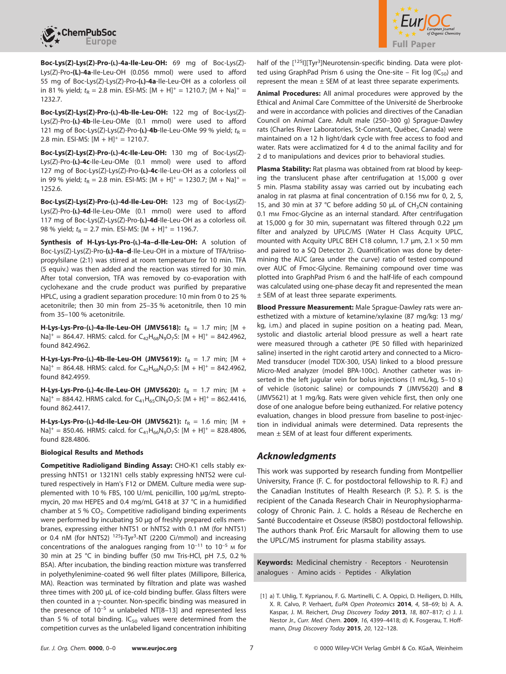



**Boc-Lys(Z)-Lys(Z)-Pro-(L)-4a-Ile-Leu-OH:** 69 mg of Boc-Lys(Z)- Lys(Z)-Pro**-(L)-4a**-Ile-Leu-OH (0.056 mmol) were used to afford 55 mg of Boc-Lys(Z)-Lys(Z)-Pro**-(L)-4a**-Ile-Leu-OH as a colorless oil in 81 % yield;  $t_R = 2.8$  min. ESI-MS:  $[M + H]^+ = 1210.7$ ;  $[M + Na]^+ =$ 1232.7.

**Boc-Lys(Z)-Lys(Z)-Pro-(L)-4b-Ile-Leu-OH:** 122 mg of Boc-Lys(Z)- Lys(Z)-Pro-**(L)**-**4b**-Ile-Leu-OMe (0.1 mmol) were used to afford 121 mg of Boc-Lys(Z)-Lys(Z)-Pro-(L)-4b-Ile-Leu-OMe 99 % yield;  $t_{\rm p}$  = 2.8 min. ESI-MS:  $[M + H]^{+} = 1210.7$ .

**Boc-Lys(Z)-Lys(Z)-Pro-(L)-4c-Ile-Leu-OH:** 130 mg of Boc-Lys(Z)- Lys(Z)-Pro-**(L)-4c**-Ile-Leu-OMe (0.1 mmol) were used to afford 127 mg of Boc-Lys(Z)-Lys(Z)-Pro-**(L)-4c**-Ile-Leu-OH as a colorless oil in 99 % yield;  $t_R = 2.8$  min. ESI-MS:  $[M + H]^+ = 1230.7$ ;  $[M + Na]^+ =$ 1252.6.

**Boc-Lys(Z)-Lys(Z)-Pro-(L)-4d-Ile-Leu-OH:** 123 mg of Boc-Lys(Z)- Lys(Z)-Pro-**(L)-4d**-Ile-Leu-OMe (0.1 mmol) were used to afford 117 mg of Boc-Lys(Z)-Lys(Z)-Pro-**(L)-4d**-Ile-Leu-OH as a colorless oil. 98 % yield;  $t_R = 2.7$  min. ESI-MS:  $[M + H]^+ = 1196.7$ .

**Synthesis of H-Lys-Lys-Pro-(L)-4a–d-Ile-Leu-OH:** A solution of Boc-Lys(Z)-Lys(Z)-Pro-**(L)-4a–d**-Ile-Leu-OH in a mixture of TFA/triisopropylsilane (2:1) was stirred at room temperature for 10 min. TFA (5 equiv.) was then added and the reaction was stirred for 30 min. After total conversion, TFA was removed by co-evaporation with cyclohexane and the crude product was purified by preparative HPLC, using a gradient separation procedure: 10 min from 0 to 25 % acetonitrile; then 30 min from 25–35 % acetonitrile, then 10 min from 35–100 % acetonitrile.

**H-Lys-Lys-Pro-(L)-4a-Ile-Leu-OH (JMV5618):**  $t_R = 1.7$  min; [M +  $Na^{+}$  = 864.47. HRMS: calcd. for  $C_{42}H_{68}N_{9}O_{7}S$ :  $[M + H]^{+}$  = 842.4962, found 842.4962.

**H-Lys-Lys-Pro-(L)-4b-Ile-Leu-OH (JMV5619):**  $t_R = 1.7$  min; [M +  $Na^{+}$  = 864.48. HRMS: calcd. for  $C_{42}H_{68}N_{9}O_{7}S$ :  $[M + H]^{+}$  = 842.4962, found 842.4959.

**H-Lys-Lys-Pro-(L)-4c-Ile-Leu-OH (JMV5620):**  $t_R = 1.7$  min; [M +  $Na$ <sup>+</sup> = 884.42. HRMS calcd. for C<sub>41</sub>H<sub>65</sub>ClN<sub>9</sub>O<sub>7</sub>S: [M + H]<sup>+</sup> = 862.4416, found 862.4417.

**H-Lys-Lys-Pro-(L)-4d-Ile-Leu-OH (JMV5621):**  $t_R = 1.6$  min; [M +  $Na$ <sup>+</sup> = 850.46. HRMS: calcd. for C<sub>41</sub>H<sub>66</sub>N<sub>9</sub>O<sub>7</sub>S: [M + H]<sup>+</sup> = 828.4806, found 828.4806.

#### **Biological Results and Methods**

**Competitive Radioligand Binding Assay:** CHO-K1 cells stably expressing hNTS1 or 1321N1 cells stably expressing hNTS2 were cultured respectively in Ham's F12 or DMEM. Culture media were supplemented with 10 % FBS, 100 U/mL penicillin, 100 μg/mL streptomycin, 20 mm HEPES and 0.4 mg/mL G418 at 37 °C in a humidified chamber at 5 %  $CO<sub>2</sub>$ . Competitive radioligand binding experiments were performed by incubating 50 μg of freshly prepared cells membranes, expressing either hNTS1 or hNTS2 with 0.1 nM (for hNTS1) or 0.4 nM (for hNTS2) <sup>125</sup>I-Tyr<sup>3</sup>-NT (2200 Ci/mmol) and increasing concentrations of the analogues ranging from  $10^{-11}$  to  $10^{-5}$  M for 30 min at 25 °C in binding buffer (50 mm Tris-HCl, pH 7.5, 0.2 % BSA). After incubation, the binding reaction mixture was transferred in polyethylenimine-coated 96 well filter plates (Millipore, Billerica, MA). Reaction was terminated by filtration and plate was washed three times with 200 μL of ice-cold binding buffer. Glass filters were then counted in a  $\gamma$ -counter. Non-specific binding was measured in the presence of  $10^{-5}$  M unlabeled NT[8-13] and represented less than 5 % of total binding.  $IC_{50}$  values were determined from the competition curves as the unlabeled ligand concentration inhibiting

half of the [<sup>125</sup>l][Tyr<sup>3</sup>]Neurotensin-specific binding. Data were plotted using GraphPad Prism 6 using the One-site – Fit log ( $IC_{50}$ ) and represent the mean  $\pm$  SEM of at least three separate experiments.

**Animal Procedures:** All animal procedures were approved by the Ethical and Animal Care Committee of the Université de Sherbrooke and were in accordance with policies and directives of the Canadian Council on Animal Care. Adult male (250–300 g) Sprague-Dawley rats (Charles River Laboratories, St-Constant, Québec, Canada) were maintained on a 12 h light/dark cycle with free access to food and water. Rats were acclimatized for 4 d to the animal facility and for 2 d to manipulations and devices prior to behavioral studies.

**Plasma Stability:** Rat plasma was obtained from rat blood by keeping the translucent phase after centrifugation at 15,000 g over 5 min. Plasma stability assay was carried out by incubating each analog in rat plasma at final concentration of 0.156 mm for 0, 2, 5, 15, and 30 min at 37 °C before adding 50 μL of CH<sub>3</sub>CN containing 0.1 mm Fmoc-Glycine as an internal standard. After centrifugation at 15,000 g for 30 min, supernatant was filtered through 0.22 μm filter and analyzed by UPLC/MS (Water H Class Acquity UPLC, mounted with Acquity UPLC BEH C18 column, 1.7  $\mu$ m, 2.1  $\times$  50 mm and paired to a SQ Detector 2). Quantification was done by determining the AUC (area under the curve) ratio of tested compound over AUC of Fmoc-Glycine. Remaining compound over time was plotted into GraphPad Prism 6 and the half-life of each compound was calculated using one-phase decay fit and represented the mean ± SEM of at least three separate experiments.

**Blood Pressure Measurement:** Male Sprague-Dawley rats were anesthetized with a mixture of ketamine/xylaxine (87 mg/kg: 13 mg/ kg, i.m.) and placed in supine position on a heating pad. Mean, systolic and diastolic arterial blood pressure as well a heart rate were measured through a catheter (PE 50 filled with heparinized saline) inserted in the right carotid artery and connected to a Micro-Med transducer (model TDX-300, USA) linked to a blood pressure Micro-Med analyzer (model BPA-100c). Another catheter was inserted in the left jugular vein for bolus injections (1 mL/kg, 5–10 s) of vehicle (isotonic saline) or compounds **7** (JMV5620) and **8** (JMV5621) at 1 mg/kg. Rats were given vehicle first, then only one dose of one analogue before being euthanized. For relative potency evaluation, changes in blood pressure from baseline to post-injection in individual animals were determined. Data represents the mean ± SEM of at least four different experiments.

#### *Acknowledgments*

This work was supported by research funding from Montpellier University, France (F. C. for postdoctoral fellowship to R. F.) and the Canadian Institutes of Health Research (P. S.). P. S. is the recipient of the Canada Research Chair in Neurophysiopharmacology of Chronic Pain. J. C. holds a Réseau de Recherche en Santé Buccodentaire et Osseuse (RSBO) postdoctoral fellowship. The authors thank Prof. Éric Marsault for allowing them to use the UPLC/MS instrument for plasma stability assays.

**Keywords:** Medicinal chemistry · Receptors · Neurotensin analogues · Amino acids · Peptides · Alkylation

<sup>[1]</sup> a) T. Uhlig, T. Kyprianou, F. G. Martinelli, C. A. Oppici, D. Heiligers, D. Hills, X. R. Calvo, P. Verhaert, EuPA Open Proteomics **2014**, 4, 58–69; b) A. A. Kaspar, J. M. Reichert, Drug Discovery Today **2013**, 18, 807–817; c) J. J. Nestor Jr., Curr. Med. Chem. **2009**, 16, 4399–4418; d) K. Fosgerau, T. Hoffmann, Drug Discovery Today **2015**, 20, 122–128.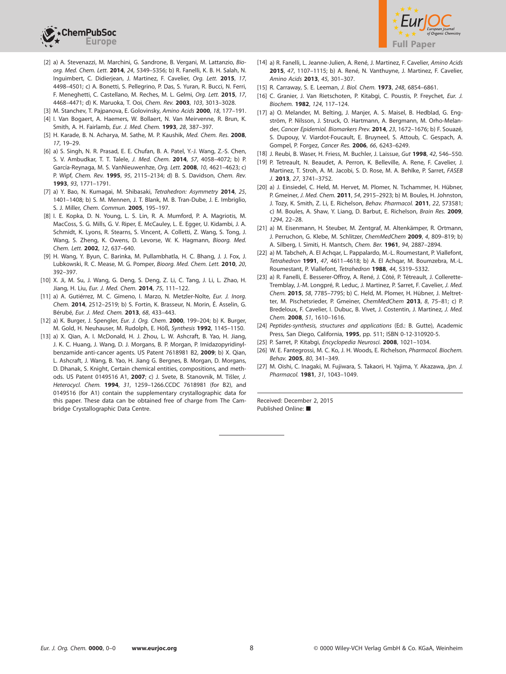



- [2] a) A. Stevenazzi, M. Marchini, G. Sandrone, B. Vergani, M. Lattanzio, Bioorg. Med. Chem. Lett. **2014**, 24, 5349–5356; b) R. Fanelli, K. B. H. Salah, N. Inguimbert, C. Didierjean, J. Martinez, F. Cavelier, Org. Lett. **2015**, 17, 4498–4501; c) A. Bonetti, S. Pellegrino, P. Das, S. Yuran, R. Bucci, N. Ferri, F. Meneghetti, C. Castellano, M. Reches, M. L. Gelmi, Org. Lett. **2015**, 17, 4468–4471; d) K. Maruoka, T. Ooi, Chem. Rev. **2003**, 103, 3013–3028.
- [3] M. Stanchev, T. Pajpanova, E. Golovinsky, Amino Acids **2000**, 18, 177–191. [4] I. Van Bogaert, A. Haemers, W. Bollaert, N. Van Meirvenne, R. Brun, K.
- Smith, A. H. Fairlamb, Eur. J. Med. Chem. **1993**, 28, 387–397.
- [5] H. Karade, B. N. Acharya, M. Sathe, M. P. Kaushik, Med. Chem. Res. **2008**, 17, 19–29.
- [6] a) S. Singh, N. R. Prasad, E. E. Chufan, B. A. Patel, Y.-J. Wang, Z.-S. Chen, S. V. Ambudkar, T. T. Talele, J. Med. Chem. **2014**, 57, 4058–4072; b) P. García-Reynaga, M. S. VanNieuwenhze, Org. Lett. **2008**, 10, 4621–4623; c) P. Wipf, Chem. Rev. **1995**, 95, 2115–2134; d) B. S. Davidson, Chem. Rev. **1993**, 93, 1771–1791.
- [7] a) Y. Bao, N. Kumagai, M. Shibasaki, Tetrahedron: Asymmetry **2014**, 25, 1401–1408; b) S. M. Mennen, J. T. Blank, M. B. Tran-Dube, J. E. Imbriglio, S. J. Miller, Chem. Commun. **2005**, 195–197.
- [8] I. E. Kopka, D. N. Young, L. S. Lin, R. A. Mumford, P. A. Magriotis, M. MacCoss, S. G. Mills, G. V. Riper, E. McCauley, L. E. Egger, U. Kidambi, J. A. Schmidt, K. Lyons, R. Stearns, S. Vincent, A. Colletti, Z. Wang, S. Tong, J. Wang, S. Zheng, K. Owens, D. Levorse, W. K. Hagmann, Bioorg. Med. Chem. Lett. **2002**, 12, 637–640.
- [9] H. Wang, Y. Byun, C. Barinka, M. Pullambhatla, H. C. Bhang, J. J. Fox, J. Lubkowski, R. C. Mease, M. G. Pomper, Bioorg. Med. Chem. Lett. **2010**, 20, 392–397.
- [10] X. Ji, M. Su, J. Wang, G. Deng, S. Deng, Z. Li, C. Tang, J. Li, L. Zhao, H. Jiang, H. Liu, Eur. J. Med. Chem. **2014**, 75, 111–122.
- [11] a) A. Gutiérrez, M. C. Gimeno, I. Marzo, N. Metzler-Nolte, Eur. J. Inorg. Chem. **2014**, 2512–2519; b) S. Fortin, K. Brasseur, N. Morin, É. Asselin, G. Bérubé, Eur. J. Med. Chem. **2013**, 68, 433–443.
- [12] a) K. Burger, J. Spengler, Eur. J. Org. Chem. **2000**, 199–204; b) K. Burger, M. Gold, H. Neuhauser, M. Rudolph, E. Höß, Synthesis **1992**, 1145–1150.
- [13] a) X. Qian, A. I. McDonald, H. J. Zhou, L. W. Ashcraft, B. Yao, H. Jiang, J. K. C. Huang, J. Wang, D. J. Morgans, B. P. Morgan, P. Imidazopyridinylbenzamide anti-cancer agents. US Patent 7618981 B2, **2009**; b) X. Qian, L. Ashcraft, J. Wang, B. Yao, H. Jiang G. Bergnes, B. Morgan, D. Morgans, D. Dhanak, S. Knight, Certain chemical entities, compositions, and methods. US Patent 0149516 A1, **2007**; c) J. Svete, B. Stanovnik, M. Tiŝler, J. Heterocycl. Chem. **1994**, 31, 1259–126[6.CCDC](https://www.ccdc.cam.ac.uk/services/structures?id=doi:10.1002/ejoc.201501495) 7618981 (for B2), and 0149516 (for A1) contain the supplementary crystallographic data for this paper. These data can be obtained free of charge from [The Cam](http://www.ccdc.cam.ac.uk/)[bridge Crystallographic Data Centre.](http://www.ccdc.cam.ac.uk/)
- [14] a) R. Fanelli, L. Jeanne-Julien, A. René, J. Martinez, F. Cavelier, Amino Acids **2015**, 47, 1107–1115; b) A. René, N. Vanthuyne, J. Martinez, F. Cavelier, Amino Acids **2013**, 45, 301–307.
- [15] R. Carraway, S. E. Leeman, J. Biol. Chem. **1973**, 248, 6854–6861.
- [16] C. Granier, J. Van Rietschoten, P. Kitabgi, C. Poustis, P. Freychet, Eur. J. Biochem. **1982**, 124, 117–124.
- [17] a) O. Melander, M. Belting, J. Manjer, A. S. Maisel, B. Hedblad, G. Engström, P. Nilsson, J. Struck, O. Hartmann, A. Bergmann, M. Orho-Melander, Cancer Epidemiol. Biomarkers Prev. **2014**, 23, 1672–1676; b) F. Souazé, S. Dupouy, V. Viardot-Foucault, E. Bruyneel, S. Attoub, C. Gespach, A. Gompel, P. Forgez, Cancer Res. **2006**, 66, 6243–6249.
- [18] J. Reubi, B. Waser, H. Friess, M. Buchler, J. Laissue, Gut **1998**, 42, 546–550.
- [19] P. Tetreault, N. Beaudet, A. Perron, K. Belleville, A. Rene, F. Cavelier, J. Martinez, T. Stroh, A. M. Jacobi, S. D. Rose, M. A. Behlke, P. Sarret, FASEB J. **2013**, 27, 3741–3752.
- [20] a) J. Einsiedel, C. Held, M. Hervet, M. Plomer, N. Tschammer, H. Hübner, P. Gmeiner, J. Med. Chem. **2011**, 54, 2915–2923; b) M. Boules, H. Johnston, J. Tozy, K. Smith, Z. Li, E. Richelson, Behav. Pharmacol. **2011**, 22, 573581; c) M. Boules, A. Shaw, Y. Liang, D. Barbut, E. Richelson, Brain Res. **2009**, 1294, 22–28.
- [21] a) M. Eisenmann, H. Steuber, M. Zentgraf, M. Altenkämper, R. Ortmann, J. Perruchon, G. Klebe, M. Schlitzer, ChemMedChem **2009**, 4, 809–819; b) A. Silberg, I. Simiti, H. Mantsch, Chem. Ber. **1961**, 94, 2887–2894.
- [22] a) M. Tabcheh, A. El Achqar, L. Pappalardo, M.-L. Roumestant, P. Viallefont, Tetrahedron **1991**, 47, 4611–4618; b) A. El Achqar, M. Boumzebra, M.-L. Roumestant, P. Viallefont, Tetrahedron **1988**, 44, 5319–5332.
- [23] a) R. Fanelli, É. Besserer-Offroy, A. René, J. Côté, P. Tétreault, J. Collerette-Tremblay, J.-M. Longpré, R. Leduc, J. Martinez, P. Sarret, F. Cavelier, J. Med. Chem. **2015**, 58, 7785–7795; b) C. Held, M. Plomer, H. Hübner, J. Meltretter, M. Pischetsrieder, P. Gmeiner, ChemMedChem **2013**, 8, 75–81; c) P. Bredeloux, F. Cavelier, I. Dubuc, B. Vivet, J. Costentin, J. Martinez, J. Med. Chem. **2008**, 51, 1610–1616.
- [24] Peptides-synthesis, structures and applications (Ed.: B. Gutte), Academic Press, San Diego, California, **1995**, pp. 511; ISBN 0-12-310920-5.
- [25] P. Sarret, P. Kitabgi, Encyclopedia Neurosci. **2008**, 1021–1034.
- [26] W. E. Fantegrossi, M. C. Ko, J. H. Woods, E. Richelson, Pharmacol. Biochem. Behav. **2005**, 80, 341–349.
- [27] M. Oishi, C. Inagaki, M. Fujiwara, S. Takaori, H. Yajima, Y. Akazawa, Jpn. J. Pharmacol. **1981**, 31, 1043–1049.

Received: December 2, 2015 Published Online: ■